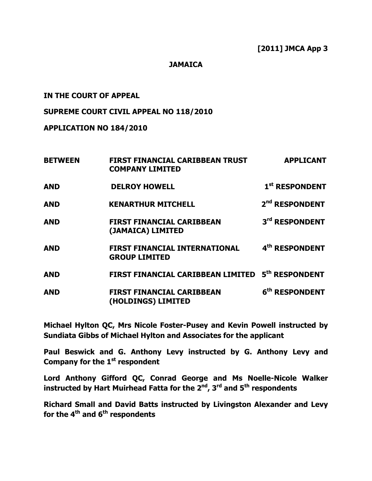### JAMAICA

# IN THE COURT OF APPEAL

# SUPREME COURT CIVIL APPEAL NO 118/2010

# APPLICATION NO 184/2010

| <b>BETWEEN</b> | <b>FIRST FINANCIAL CARIBBEAN TRUST</b><br><b>COMPANY LIMITED</b> | <b>APPLICANT</b>           |
|----------------|------------------------------------------------------------------|----------------------------|
| <b>AND</b>     | <b>DELROY HOWELL</b>                                             | 1 <sup>st</sup> RESPONDENT |
| <b>AND</b>     | <b>KENARTHUR MITCHELL</b>                                        | 2 <sup>nd</sup> RESPONDENT |
| <b>AND</b>     | <b>FIRST FINANCIAL CARIBBEAN</b><br>(JAMAICA) LIMITED            | 3rd RESPONDENT             |
| <b>AND</b>     | FIRST FINANCIAL INTERNATIONAL<br><b>GROUP LIMITED</b>            | 4 <sup>th</sup> RESPONDENT |
| <b>AND</b>     | FIRST FINANCIAL CARIBBEAN LIMITED                                | 5 <sup>th</sup> RESPONDENT |
| <b>AND</b>     | <b>FIRST FINANCIAL CARIBBEAN</b><br>(HOLDINGS) LIMITED           | 6 <sup>th</sup> RESPONDENT |

Michael Hylton QC, Mrs Nicole Foster-Pusey and Kevin Powell instructed by Sundiata Gibbs of Michael Hylton and Associates for the applicant

Paul Beswick and G. Anthony Levy instructed by G. Anthony Levy and Company for the  $1<sup>st</sup>$  respondent

Lord Anthony Gifford QC, Conrad George and Ms Noelle-Nicole Walker instructed by Hart Muirhead Fatta for the  $2^{nd}$ ,  $3^{rd}$  and  $5^{th}$  respondents

Richard Small and David Batts instructed by Livingston Alexander and Levy for the  $4^{\text{th}}$  and  $6^{\text{th}}$  respondents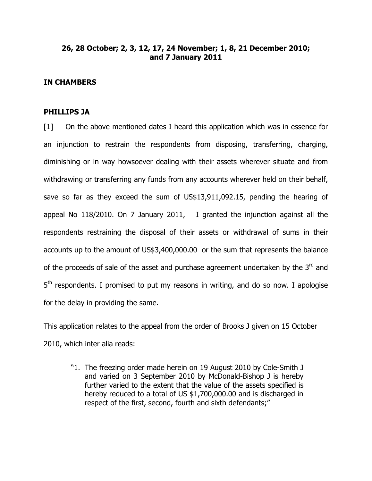# 26, 28 October; 2, 3, 12, 17, 24 November; 1, 8, 21 December 2010; and 7 January 2011

### IN CHAMBERS

### PHILLIPS JA

[1] On the above mentioned dates I heard this application which was in essence for an injunction to restrain the respondents from disposing, transferring, charging, diminishing or in way howsoever dealing with their assets wherever situate and from withdrawing or transferring any funds from any accounts wherever held on their behalf, save so far as they exceed the sum of US\$13,911,092.15, pending the hearing of appeal No 118/2010. On 7 January 2011, I granted the injunction against all the respondents restraining the disposal of their assets or withdrawal of sums in their accounts up to the amount of US\$3,400,000.00 or the sum that represents the balance of the proceeds of sale of the asset and purchase agreement undertaken by the  $3<sup>rd</sup>$  and 5<sup>th</sup> respondents. I promised to put my reasons in writing, and do so now. I apologise for the delay in providing the same.

This application relates to the appeal from the order of Brooks J given on 15 October 2010, which inter alia reads:

"1. The freezing order made herein on 19 August 2010 by Cole-Smith J and varied on 3 September 2010 by McDonald-Bishop J is hereby further varied to the extent that the value of the assets specified is hereby reduced to a total of US \$1,700,000.00 and is discharged in respect of the first, second, fourth and sixth defendants;"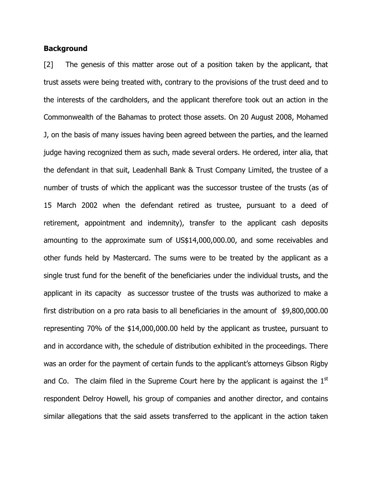### **Background**

[2] The genesis of this matter arose out of a position taken by the applicant, that trust assets were being treated with, contrary to the provisions of the trust deed and to the interests of the cardholders, and the applicant therefore took out an action in the Commonwealth of the Bahamas to protect those assets. On 20 August 2008, Mohamed J, on the basis of many issues having been agreed between the parties, and the learned judge having recognized them as such, made several orders. He ordered, inter alia, that the defendant in that suit, Leadenhall Bank & Trust Company Limited, the trustee of a number of trusts of which the applicant was the successor trustee of the trusts (as of 15 March 2002 when the defendant retired as trustee, pursuant to a deed of retirement, appointment and indemnity), transfer to the applicant cash deposits amounting to the approximate sum of US\$14,000,000.00, and some receivables and other funds held by Mastercard. The sums were to be treated by the applicant as a single trust fund for the benefit of the beneficiaries under the individual trusts, and the applicant in its capacity as successor trustee of the trusts was authorized to make a first distribution on a pro rata basis to all beneficiaries in the amount of \$9,800,000.00 representing 70% of the \$14,000,000.00 held by the applicant as trustee, pursuant to and in accordance with, the schedule of distribution exhibited in the proceedings. There was an order for the payment of certain funds to the applicant's attorneys Gibson Rigby and Co. The claim filed in the Supreme Court here by the applicant is against the  $1<sup>st</sup>$ respondent Delroy Howell, his group of companies and another director, and contains similar allegations that the said assets transferred to the applicant in the action taken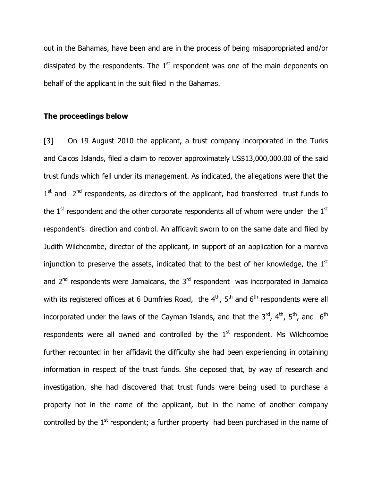out in the Bahamas, have been and are in the process of being misappropriated and/or dissipated by the respondents. The  $1<sup>st</sup>$  respondent was one of the main deponents on behalf of the applicant in the suit filed in the Bahamas.

### The proceedings below

[3] On 19 August 2010 the applicant, a trust company incorporated in the Turks and Caicos Islands, filed a claim to recover approximately US\$13,000,000.00 of the said trust funds which fell under its management. As indicated, the allegations were that the  $1<sup>st</sup>$  and  $2<sup>nd</sup>$  respondents, as directors of the applicant, had transferred trust funds to the  $1<sup>st</sup>$  respondent and the other corporate respondents all of whom were under the  $1<sup>st</sup>$ respondent's direction and control. An affidavit sworn to on the same date and filed by Judith Wilchcombe, director of the applicant, in support of an application for a mareva injunction to preserve the assets, indicated that to the best of her knowledge, the  $1<sup>st</sup>$ and  $2<sup>nd</sup>$  respondents were Jamaicans, the  $3<sup>rd</sup>$  respondent was incorporated in Jamaica with its registered offices at 6 Dumfries Road, the  $4<sup>th</sup>$ ,  $5<sup>th</sup>$  and  $6<sup>th</sup>$  respondents were all incorporated under the laws of the Cayman Islands, and that the  $3^{rd}$ ,  $4^{th}$ ,  $5^{th}$ , and  $6^{th}$ respondents were all owned and controlled by the  $1<sup>st</sup>$  respondent. Ms Wilchcombe further recounted in her affidavit the difficulty she had been experiencing in obtaining information in respect of the trust funds. She deposed that, by way of research and investigation, she had discovered that trust funds were being used to purchase a property not in the name of the applicant, but in the name of another company controlled by the  $1<sup>st</sup>$  respondent; a further property had been purchased in the name of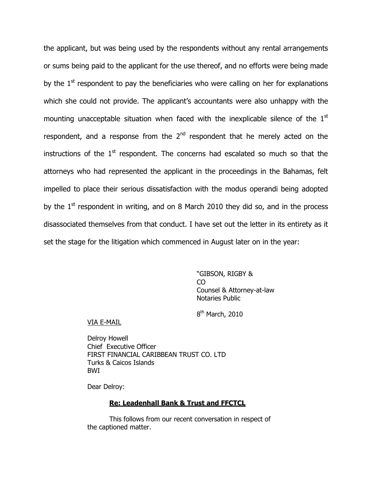the applicant, but was being used by the respondents without any rental arrangements or sums being paid to the applicant for the use thereof, and no efforts were being made by the  $1<sup>st</sup>$  respondent to pay the beneficiaries who were calling on her for explanations which she could not provide. The applicant's accountants were also unhappy with the mounting unacceptable situation when faced with the inexplicable silence of the  $1<sup>st</sup>$ respondent, and a response from the  $2<sup>nd</sup>$  respondent that he merely acted on the instructions of the  $1<sup>st</sup>$  respondent. The concerns had escalated so much so that the attorneys who had represented the applicant in the proceedings in the Bahamas, felt impelled to place their serious dissatisfaction with the modus operandi being adopted by the  $1<sup>st</sup>$  respondent in writing, and on 8 March 2010 they did so, and in the process disassociated themselves from that conduct. I have set out the letter in its entirety as it set the stage for the litigation which commenced in August later on in the year:

> "GIBSON, RIGBY & CO Counsel & Attorney-at-law Notaries Public

8<sup>th</sup> March, 2010

#### VIA E-MAIL

Delroy Howell Chief Executive Officer FIRST FINANCIAL CARIBBEAN TRUST CO. LTD Turks & Caicos Islands BWI

Dear Delroy:

#### Re: Leadenhall Bank & Trust and FFCTCL

This follows from our recent conversation in respect of the captioned matter.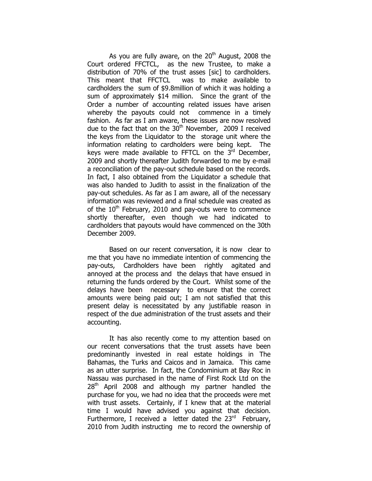As you are fully aware, on the  $20<sup>th</sup>$  August, 2008 the Court ordered FFCTCL, as the new Trustee, to make a distribution of 70% of the trust asses [sic] to cardholders. This meant that FFCTCL was to make available to cardholders the sum of \$9.8million of which it was holding a sum of approximately \$14 million. Since the grant of the Order a number of accounting related issues have arisen whereby the payouts could not commence in a timely fashion. As far as I am aware, these issues are now resolved due to the fact that on the  $30<sup>th</sup>$  November, 2009 I received the keys from the Liquidator to the storage unit where the information relating to cardholders were being kept. The keys were made available to FFTCL on the  $3<sup>rd</sup>$  December, 2009 and shortly thereafter Judith forwarded to me by e-mail a reconciliation of the pay-out schedule based on the records. In fact, I also obtained from the Liquidator a schedule that was also handed to Judith to assist in the finalization of the pay-out schedules. As far as I am aware, all of the necessary information was reviewed and a final schedule was created as of the  $10<sup>th</sup>$  February, 2010 and pay-outs were to commence shortly thereafter, even though we had indicated to cardholders that payouts would have commenced on the 30th December 2009.

Based on our recent conversation, it is now clear to me that you have no immediate intention of commencing the pay-outs, Cardholders have been rightly agitated and annoyed at the process and the delays that have ensued in returning the funds ordered by the Court. Whilst some of the delays have been necessary to ensure that the correct amounts were being paid out; I am not satisfied that this present delay is necessitated by any justifiable reason in respect of the due administration of the trust assets and their accounting.

It has also recently come to my attention based on our recent conversations that the trust assets have been predominantly invested in real estate holdings in The Bahamas, the Turks and Caicos and in Jamaica. This came as an utter surprise. In fact, the Condominium at Bay Roc in Nassau was purchased in the name of First Rock Ltd on the  $28<sup>th</sup>$  April 2008 and although my partner handled the purchase for you, we had no idea that the proceeds were met with trust assets. Certainly, if I knew that at the material time I would have advised you against that decision. Furthermore, I received a letter dated the  $23<sup>rd</sup>$  February, 2010 from Judith instructing me to record the ownership of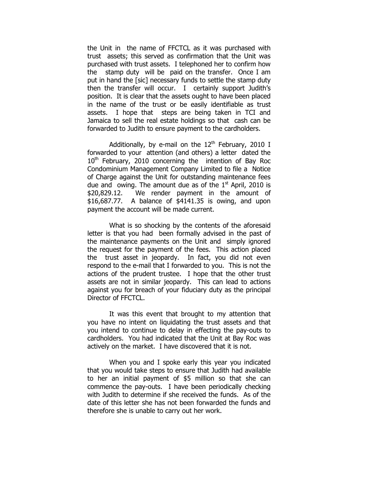the Unit in the name of FFCTCL as it was purchased with trust assets; this served as confirmation that the Unit was purchased with trust assets. I telephoned her to confirm how the stamp duty will be paid on the transfer. Once I am put in hand the [sic] necessary funds to settle the stamp duty then the transfer will occur. I certainly support Judith's position. It is clear that the assets ought to have been placed in the name of the trust or be easily identifiable as trust assets. I hope that steps are being taken in TCI and Jamaica to sell the real estate holdings so that cash can be forwarded to Judith to ensure payment to the cardholders.

Additionally, by e-mail on the  $12<sup>th</sup>$  February, 2010 I forwarded to your attention (and others) a letter dated the  $10<sup>th</sup>$  February, 2010 concerning the intention of Bay Roc Condominium Management Company Limited to file a Notice of Charge against the Unit for outstanding maintenance fees due and owing. The amount due as of the  $1<sup>st</sup>$  April, 2010 is \$20,829.12. We render payment in the amount of \$16,687.77. A balance of \$4141.35 is owing, and upon payment the account will be made current.

What is so shocking by the contents of the aforesaid letter is that you had been formally advised in the past of the maintenance payments on the Unit and simply ignored the request for the payment of the fees. This action placed the trust asset in jeopardy. In fact, you did not even respond to the e-mail that I forwarded to you. This is not the actions of the prudent trustee. I hope that the other trust assets are not in similar jeopardy. This can lead to actions against you for breach of your fiduciary duty as the principal Director of FFCTCL.

It was this event that brought to my attention that you have no intent on liquidating the trust assets and that you intend to continue to delay in effecting the pay-outs to cardholders. You had indicated that the Unit at Bay Roc was actively on the market. I have discovered that it is not.

When you and I spoke early this year you indicated that you would take steps to ensure that Judith had available to her an initial payment of \$5 million so that she can commence the pay-outs. I have been periodically checking with Judith to determine if she received the funds. As of the date of this letter she has not been forwarded the funds and therefore she is unable to carry out her work.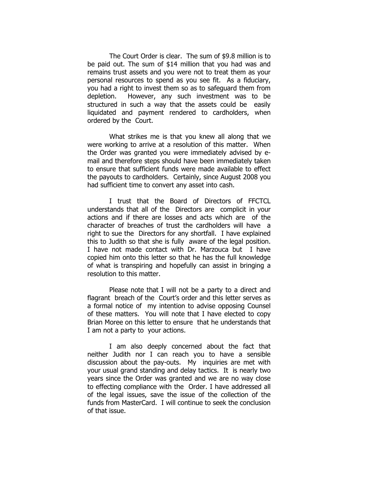The Court Order is clear. The sum of \$9.8 million is to be paid out. The sum of \$14 million that you had was and remains trust assets and you were not to treat them as your personal resources to spend as you see fit. As a fiduciary, you had a right to invest them so as to safeguard them from depletion. However, any such investment was to be structured in such a way that the assets could be easily liquidated and payment rendered to cardholders, when ordered by the Court.

What strikes me is that you knew all along that we were working to arrive at a resolution of this matter. When the Order was granted you were immediately advised by email and therefore steps should have been immediately taken to ensure that sufficient funds were made available to effect the payouts to cardholders. Certainly, since August 2008 you had sufficient time to convert any asset into cash.

I trust that the Board of Directors of FFCTCL understands that all of the Directors are complicit in your actions and if there are losses and acts which are of the character of breaches of trust the cardholders will have a right to sue the Directors for any shortfall. I have explained this to Judith so that she is fully aware of the legal position. I have not made contact with Dr. Marzouca but I have copied him onto this letter so that he has the full knowledge of what is transpiring and hopefully can assist in bringing a resolution to this matter.

Please note that I will not be a party to a direct and flagrant breach of the Court's order and this letter serves as a formal notice of my intention to advise opposing Counsel of these matters. You will note that I have elected to copy Brian Moree on this letter to ensure that he understands that I am not a party to your actions.

I am also deeply concerned about the fact that neither Judith nor I can reach you to have a sensible discussion about the pay-outs. My inquiries are met with your usual grand standing and delay tactics. It is nearly two years since the Order was granted and we are no way close to effecting compliance with the Order. I have addressed all of the legal issues, save the issue of the collection of the funds from MasterCard. I will continue to seek the conclusion of that issue.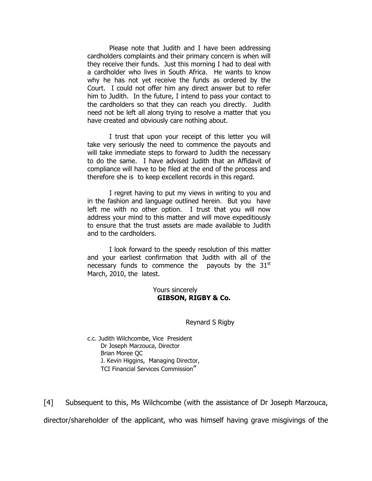Please note that Judith and I have been addressing cardholders complaints and their primary concern is when will they receive their funds. Just this morning I had to deal with a cardholder who lives in South Africa. He wants to know why he has not yet receive the funds as ordered by the Court. I could not offer him any direct answer but to refer him to Judith. In the future, I intend to pass your contact to the cardholders so that they can reach you directly. Judith need not be left all along trying to resolve a matter that you have created and obviously care nothing about.

I trust that upon your receipt of this letter you will take very seriously the need to commence the payouts and will take immediate steps to forward to Judith the necessary to do the same. I have advised Judith that an Affidavit of compliance will have to be filed at the end of the process and therefore she is to keep excellent records in this regard.

I regret having to put my views in writing to you and in the fashion and language outlined herein. But you have left me with no other option. I trust that you will now address your mind to this matter and will move expeditiously to ensure that the trust assets are made available to Judith and to the cardholders.

I look forward to the speedy resolution of this matter and your earliest confirmation that Judith with all of the necessary funds to commence the payouts by the  $31<sup>st</sup>$ March, 2010, the latest.

> Yours sincerely GIBSON, RIGBY & Co.

#### Reynard S Rigby

c.c. Judith Wilchcombe, Vice President Dr Joseph Marzouca, Director Brian Moree QC J. Kevin Higgins, Managing Director, TCI Financial Services Commission"

[4] Subsequent to this, Ms Wilchcombe (with the assistance of Dr Joseph Marzouca,

director/shareholder of the applicant, who was himself having grave misgivings of the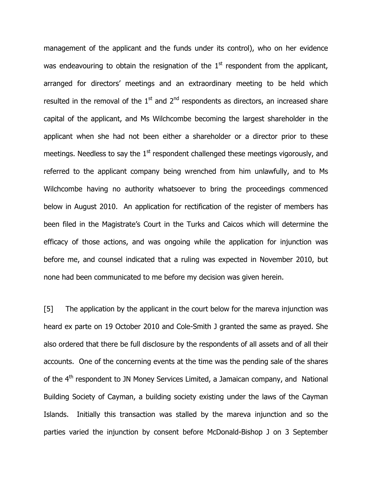management of the applicant and the funds under its control), who on her evidence was endeavouring to obtain the resignation of the  $1<sup>st</sup>$  respondent from the applicant, arranged for directors' meetings and an extraordinary meeting to be held which resulted in the removal of the  $1<sup>st</sup>$  and  $2<sup>nd</sup>$  respondents as directors, an increased share capital of the applicant, and Ms Wilchcombe becoming the largest shareholder in the applicant when she had not been either a shareholder or a director prior to these meetings. Needless to say the  $1<sup>st</sup>$  respondent challenged these meetings vigorously, and referred to the applicant company being wrenched from him unlawfully, and to Ms Wilchcombe having no authority whatsoever to bring the proceedings commenced below in August 2010. An application for rectification of the register of members has been filed in the Magistrate's Court in the Turks and Caicos which will determine the efficacy of those actions, and was ongoing while the application for injunction was before me, and counsel indicated that a ruling was expected in November 2010, but none had been communicated to me before my decision was given herein.

[5] The application by the applicant in the court below for the mareva injunction was heard ex parte on 19 October 2010 and Cole-Smith J granted the same as prayed. She also ordered that there be full disclosure by the respondents of all assets and of all their accounts. One of the concerning events at the time was the pending sale of the shares of the  $4<sup>th</sup>$  respondent to JN Money Services Limited, a Jamaican company, and National Building Society of Cayman, a building society existing under the laws of the Cayman Islands. Initially this transaction was stalled by the mareva injunction and so the parties varied the injunction by consent before McDonald-Bishop J on 3 September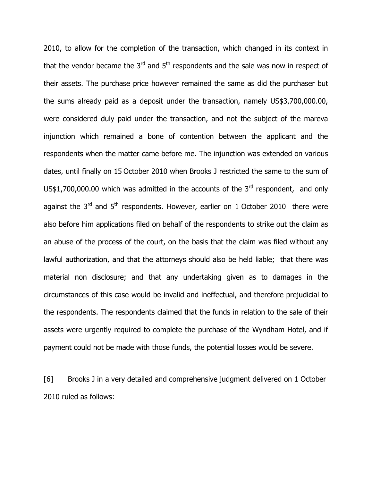2010, to allow for the completion of the transaction, which changed in its context in that the vendor became the  $3<sup>rd</sup>$  and  $5<sup>th</sup>$  respondents and the sale was now in respect of their assets. The purchase price however remained the same as did the purchaser but the sums already paid as a deposit under the transaction, namely US\$3,700,000.00, were considered duly paid under the transaction, and not the subject of the mareva injunction which remained a bone of contention between the applicant and the respondents when the matter came before me. The injunction was extended on various dates, until finally on 15 October 2010 when Brooks J restricted the same to the sum of US\$1,700,000.00 which was admitted in the accounts of the  $3<sup>rd</sup>$  respondent, and only against the  $3<sup>rd</sup>$  and  $5<sup>th</sup>$  respondents. However, earlier on 1 October 2010 there were also before him applications filed on behalf of the respondents to strike out the claim as an abuse of the process of the court, on the basis that the claim was filed without any lawful authorization, and that the attorneys should also be held liable; that there was material non disclosure; and that any undertaking given as to damages in the circumstances of this case would be invalid and ineffectual, and therefore prejudicial to the respondents. The respondents claimed that the funds in relation to the sale of their assets were urgently required to complete the purchase of the Wyndham Hotel, and if payment could not be made with those funds, the potential losses would be severe.

[6] Brooks J in a very detailed and comprehensive judgment delivered on 1 October 2010 ruled as follows: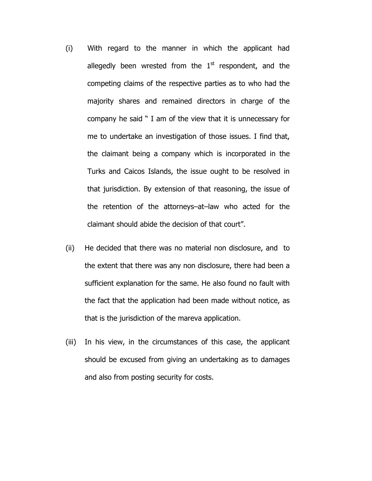- (i) With regard to the manner in which the applicant had allegedly been wrested from the  $1<sup>st</sup>$  respondent, and the competing claims of the respective parties as to who had the majority shares and remained directors in charge of the company he said " I am of the view that it is unnecessary for me to undertake an investigation of those issues. I find that, the claimant being a company which is incorporated in the Turks and Caicos Islands, the issue ought to be resolved in that jurisdiction. By extension of that reasoning, the issue of the retention of the attorneys–at–law who acted for the claimant should abide the decision of that court".
- (ii) He decided that there was no material non disclosure, and to the extent that there was any non disclosure, there had been a sufficient explanation for the same. He also found no fault with the fact that the application had been made without notice, as that is the jurisdiction of the mareva application.
- (iii) In his view, in the circumstances of this case, the applicant should be excused from giving an undertaking as to damages and also from posting security for costs.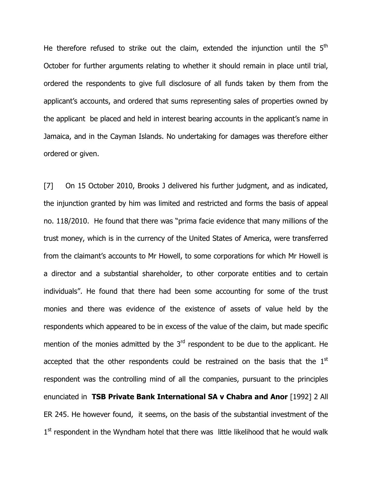He therefore refused to strike out the claim, extended the injunction until the  $5<sup>th</sup>$ October for further arguments relating to whether it should remain in place until trial, ordered the respondents to give full disclosure of all funds taken by them from the applicant's accounts, and ordered that sums representing sales of properties owned by the applicant be placed and held in interest bearing accounts in the applicant's name in Jamaica, and in the Cayman Islands. No undertaking for damages was therefore either ordered or given.

[7] On 15 October 2010, Brooks J delivered his further judgment, and as indicated, the injunction granted by him was limited and restricted and forms the basis of appeal no. 118/2010. He found that there was "prima facie evidence that many millions of the trust money, which is in the currency of the United States of America, were transferred from the claimant's accounts to Mr Howell, to some corporations for which Mr Howell is a director and a substantial shareholder, to other corporate entities and to certain individuals". He found that there had been some accounting for some of the trust monies and there was evidence of the existence of assets of value held by the respondents which appeared to be in excess of the value of the claim, but made specific mention of the monies admitted by the  $3<sup>rd</sup>$  respondent to be due to the applicant. He accepted that the other respondents could be restrained on the basis that the  $1<sup>st</sup>$ respondent was the controlling mind of all the companies, pursuant to the principles enunciated in TSB Private Bank International SA v Chabra and Anor [1992] 2 All ER 245. He however found, it seems, on the basis of the substantial investment of the 1<sup>st</sup> respondent in the Wyndham hotel that there was little likelihood that he would walk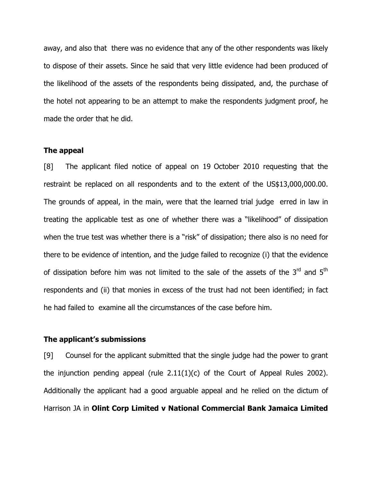away, and also that there was no evidence that any of the other respondents was likely to dispose of their assets. Since he said that very little evidence had been produced of the likelihood of the assets of the respondents being dissipated, and, the purchase of the hotel not appearing to be an attempt to make the respondents judgment proof, he made the order that he did.

### The appeal

[8] The applicant filed notice of appeal on 19 October 2010 requesting that the restraint be replaced on all respondents and to the extent of the US\$13,000,000.00. The grounds of appeal, in the main, were that the learned trial judge erred in law in treating the applicable test as one of whether there was a "likelihood" of dissipation when the true test was whether there is a "risk" of dissipation; there also is no need for there to be evidence of intention, and the judge failed to recognize (i) that the evidence of dissipation before him was not limited to the sale of the assets of the  $3<sup>rd</sup>$  and  $5<sup>th</sup>$ respondents and (ii) that monies in excess of the trust had not been identified; in fact he had failed to examine all the circumstances of the case before him.

### The applicant's submissions

[9] Counsel for the applicant submitted that the single judge had the power to grant the injunction pending appeal (rule 2.11(1)(c) of the Court of Appeal Rules 2002). Additionally the applicant had a good arguable appeal and he relied on the dictum of Harrison JA in Olint Corp Limited v National Commercial Bank Jamaica Limited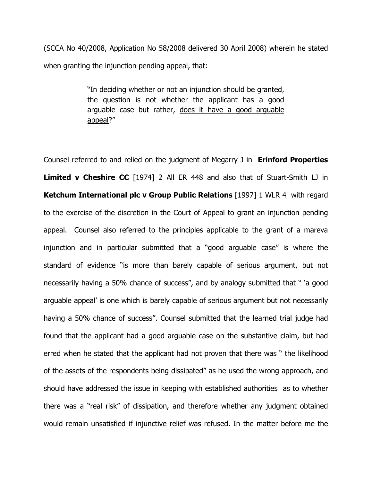(SCCA No 40/2008, Application No 58/2008 delivered 30 April 2008) wherein he stated when granting the injunction pending appeal, that:

> "In deciding whether or not an injunction should be granted, the question is not whether the applicant has a good arguable case but rather, does it have a good arguable appeal?"

Counsel referred to and relied on the judgment of Megarry J in **Erinford Properties** Limited v Cheshire CC [1974] 2 All ER 448 and also that of Stuart-Smith LJ in Ketchum International plc v Group Public Relations [1997] 1 WLR 4 with regard to the exercise of the discretion in the Court of Appeal to grant an injunction pending appeal. Counsel also referred to the principles applicable to the grant of a mareva injunction and in particular submitted that a "good arguable case" is where the standard of evidence "is more than barely capable of serious argument, but not necessarily having a 50% chance of success", and by analogy submitted that " 'a good arguable appeal' is one which is barely capable of serious argument but not necessarily having a 50% chance of success". Counsel submitted that the learned trial judge had found that the applicant had a good arguable case on the substantive claim, but had erred when he stated that the applicant had not proven that there was " the likelihood of the assets of the respondents being dissipated" as he used the wrong approach, and should have addressed the issue in keeping with established authorities as to whether there was a "real risk" of dissipation, and therefore whether any judgment obtained would remain unsatisfied if injunctive relief was refused. In the matter before me the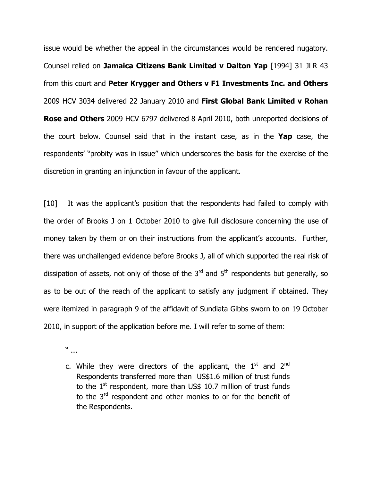issue would be whether the appeal in the circumstances would be rendered nugatory. Counsel relied on Jamaica Citizens Bank Limited v Dalton Yap [1994] 31 JLR 43 from this court and Peter Krygger and Others v F1 Investments Inc. and Others 2009 HCV 3034 delivered 22 January 2010 and First Global Bank Limited v Rohan Rose and Others 2009 HCV 6797 delivered 8 April 2010, both unreported decisions of the court below. Counsel said that in the instant case, as in the Yap case, the respondents' "probity was in issue" which underscores the basis for the exercise of the discretion in granting an injunction in favour of the applicant.

[10] It was the applicant's position that the respondents had failed to comply with the order of Brooks J on 1 October 2010 to give full disclosure concerning the use of money taken by them or on their instructions from the applicant's accounts. Further, there was unchallenged evidence before Brooks J, all of which supported the real risk of dissipation of assets, not only of those of the  $3<sup>rd</sup>$  and  $5<sup>th</sup>$  respondents but generally, so as to be out of the reach of the applicant to satisfy any judgment if obtained. They were itemized in paragraph 9 of the affidavit of Sundiata Gibbs sworn to on 19 October 2010, in support of the application before me. I will refer to some of them:

" ...

c. While they were directors of the applicant, the  $1<sup>st</sup>$  and  $2<sup>nd</sup>$ Respondents transferred more than US\$1.6 million of trust funds to the  $1<sup>st</sup>$  respondent, more than US\$ 10.7 million of trust funds to the 3<sup>rd</sup> respondent and other monies to or for the benefit of the Respondents.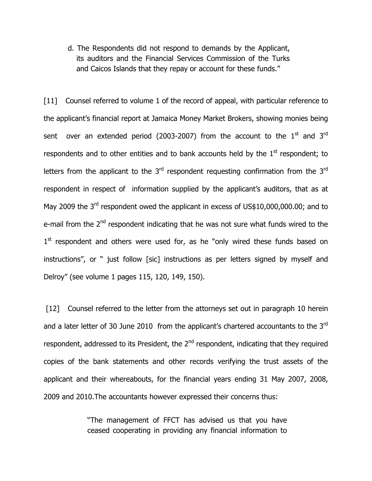d. The Respondents did not respond to demands by the Applicant, its auditors and the Financial Services Commission of the Turks and Caicos Islands that they repay or account for these funds."

[11] Counsel referred to volume 1 of the record of appeal, with particular reference to the applicant's financial report at Jamaica Money Market Brokers, showing monies being sent over an extended period (2003-2007) from the account to the  $1<sup>st</sup>$  and  $3<sup>rd</sup>$ respondents and to other entities and to bank accounts held by the  $1<sup>st</sup>$  respondent; to letters from the applicant to the  $3<sup>rd</sup>$  respondent requesting confirmation from the  $3<sup>rd</sup>$ respondent in respect of information supplied by the applicant's auditors, that as at May 2009 the 3<sup>rd</sup> respondent owed the applicant in excess of US\$10,000,000.00; and to e-mail from the 2<sup>nd</sup> respondent indicating that he was not sure what funds wired to the 1<sup>st</sup> respondent and others were used for, as he "only wired these funds based on instructions", or " just follow [sic] instructions as per letters signed by myself and Delroy" (see volume 1 pages 115, 120, 149, 150).

[12] Counsel referred to the letter from the attorneys set out in paragraph 10 herein and a later letter of 30 June 2010 from the applicant's chartered accountants to the 3rd respondent, addressed to its President, the 2<sup>nd</sup> respondent, indicating that they required copies of the bank statements and other records verifying the trust assets of the applicant and their whereabouts, for the financial years ending 31 May 2007, 2008, 2009 and 2010.The accountants however expressed their concerns thus:

> "The management of FFCT has advised us that you have ceased cooperating in providing any financial information to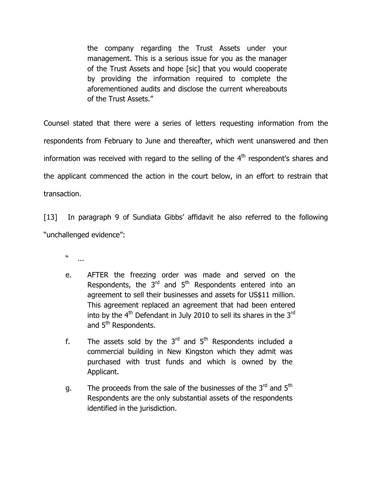the company regarding the Trust Assets under your management. This is a serious issue for you as the manager of the Trust Assets and hope [sic] that you would cooperate by providing the information required to complete the aforementioned audits and disclose the current whereabouts of the Trust Assets."

Counsel stated that there were a series of letters requesting information from the respondents from February to June and thereafter, which went unanswered and then information was received with regard to the selling of the  $4<sup>th</sup>$  respondent's shares and the applicant commenced the action in the court below, in an effort to restrain that transaction.

[13] In paragraph 9 of Sundiata Gibbs' affidavit he also referred to the following "unchallenged evidence":

" ...

- e. AFTER the freezing order was made and served on the Respondents, the  $3<sup>rd</sup>$  and  $5<sup>th</sup>$  Respondents entered into an agreement to sell their businesses and assets for US\$11 million. This agreement replaced an agreement that had been entered into by the  $4<sup>th</sup>$  Defendant in July 2010 to sell its shares in the  $3<sup>rd</sup>$ and 5<sup>th</sup> Respondents.
- f. The assets sold by the  $3<sup>rd</sup>$  and  $5<sup>th</sup>$  Respondents included a commercial building in New Kingston which they admit was purchased with trust funds and which is owned by the Applicant.
- g. The proceeds from the sale of the businesses of the 3<sup>rd</sup> and 5<sup>th</sup> Respondents are the only substantial assets of the respondents identified in the jurisdiction.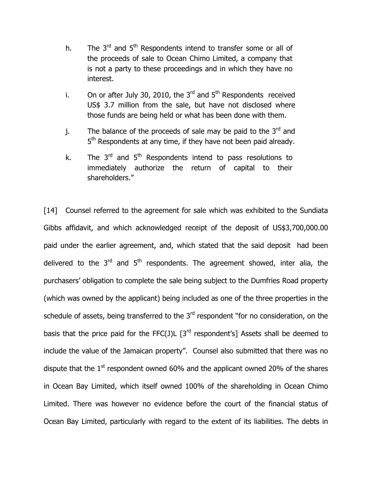- h. The  $3<sup>rd</sup>$  and  $5<sup>th</sup>$  Respondents intend to transfer some or all of the proceeds of sale to Ocean Chimo Limited, a company that is not a party to these proceedings and in which they have no interest.
- i. On or after July 30, 2010, the  $3<sup>rd</sup>$  and  $5<sup>th</sup>$  Respondents received US\$ 3.7 million from the sale, but have not disclosed where those funds are being held or what has been done with them.
- j. The balance of the proceeds of sale may be paid to the  $3<sup>rd</sup>$  and 5<sup>th</sup> Respondents at any time, if they have not been paid already.
- k. The  $3<sup>rd</sup>$  and  $5<sup>th</sup>$  Respondents intend to pass resolutions to immediately authorize the return of capital to their shareholders."

[14] Counsel referred to the agreement for sale which was exhibited to the Sundiata Gibbs affidavit, and which acknowledged receipt of the deposit of US\$3,700,000.00 paid under the earlier agreement, and, which stated that the said deposit had been delivered to the  $3<sup>rd</sup>$  and  $5<sup>th</sup>$  respondents. The agreement showed, inter alia, the purchasers' obligation to complete the sale being subject to the Dumfries Road property (which was owned by the applicant) being included as one of the three properties in the schedule of assets, being transferred to the  $3<sup>rd</sup>$  respondent "for no consideration, on the basis that the price paid for the FFC(J)L  $[3^{rd}$  respondent's] Assets shall be deemed to include the value of the Jamaican property". Counsel also submitted that there was no dispute that the  $1<sup>st</sup>$  respondent owned 60% and the applicant owned 20% of the shares in Ocean Bay Limited, which itself owned 100% of the shareholding in Ocean Chimo Limited. There was however no evidence before the court of the financial status of Ocean Bay Limited, particularly with regard to the extent of its liabilities. The debts in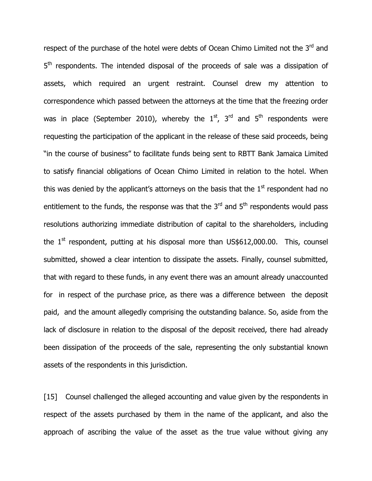respect of the purchase of the hotel were debts of Ocean Chimo Limited not the 3<sup>rd</sup> and 5<sup>th</sup> respondents. The intended disposal of the proceeds of sale was a dissipation of assets, which required an urgent restraint. Counsel drew my attention to correspondence which passed between the attorneys at the time that the freezing order was in place (September 2010), whereby the  $1<sup>st</sup>$ ,  $3<sup>rd</sup>$  and  $5<sup>th</sup>$  respondents were requesting the participation of the applicant in the release of these said proceeds, being "in the course of business" to facilitate funds being sent to RBTT Bank Jamaica Limited to satisfy financial obligations of Ocean Chimo Limited in relation to the hotel. When this was denied by the applicant's attorneys on the basis that the  $1<sup>st</sup>$  respondent had no entitlement to the funds, the response was that the  $3<sup>rd</sup>$  and  $5<sup>th</sup>$  respondents would pass resolutions authorizing immediate distribution of capital to the shareholders, including the  $1<sup>st</sup>$  respondent, putting at his disposal more than US\$612,000.00. This, counsel submitted, showed a clear intention to dissipate the assets. Finally, counsel submitted, that with regard to these funds, in any event there was an amount already unaccounted for in respect of the purchase price, as there was a difference between the deposit paid, and the amount allegedly comprising the outstanding balance. So, aside from the lack of disclosure in relation to the disposal of the deposit received, there had already been dissipation of the proceeds of the sale, representing the only substantial known assets of the respondents in this jurisdiction.

[15] Counsel challenged the alleged accounting and value given by the respondents in respect of the assets purchased by them in the name of the applicant, and also the approach of ascribing the value of the asset as the true value without giving any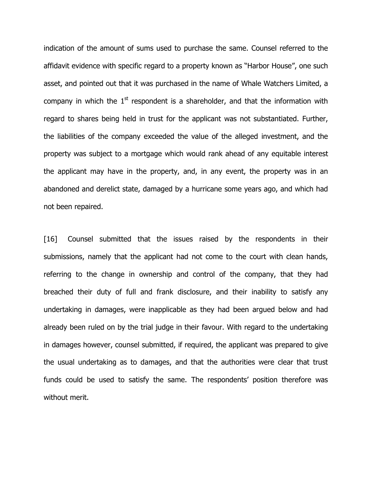indication of the amount of sums used to purchase the same. Counsel referred to the affidavit evidence with specific regard to a property known as "Harbor House", one such asset, and pointed out that it was purchased in the name of Whale Watchers Limited, a company in which the  $1<sup>st</sup>$  respondent is a shareholder, and that the information with regard to shares being held in trust for the applicant was not substantiated. Further, the liabilities of the company exceeded the value of the alleged investment, and the property was subject to a mortgage which would rank ahead of any equitable interest the applicant may have in the property, and, in any event, the property was in an abandoned and derelict state, damaged by a hurricane some years ago, and which had not been repaired.

[16] Counsel submitted that the issues raised by the respondents in their submissions, namely that the applicant had not come to the court with clean hands, referring to the change in ownership and control of the company, that they had breached their duty of full and frank disclosure, and their inability to satisfy any undertaking in damages, were inapplicable as they had been argued below and had already been ruled on by the trial judge in their favour. With regard to the undertaking in damages however, counsel submitted, if required, the applicant was prepared to give the usual undertaking as to damages, and that the authorities were clear that trust funds could be used to satisfy the same. The respondents' position therefore was without merit.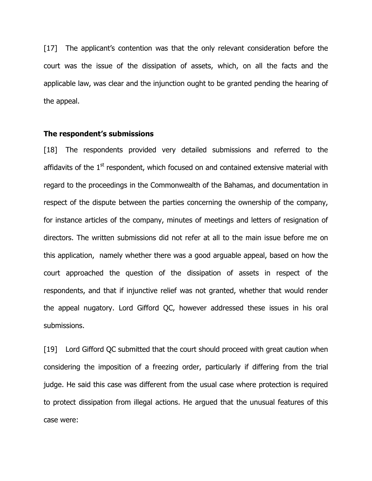[17] The applicant's contention was that the only relevant consideration before the court was the issue of the dissipation of assets, which, on all the facts and the applicable law, was clear and the injunction ought to be granted pending the hearing of the appeal.

### The respondent's submissions

[18] The respondents provided very detailed submissions and referred to the affidavits of the  $1<sup>st</sup>$  respondent, which focused on and contained extensive material with regard to the proceedings in the Commonwealth of the Bahamas, and documentation in respect of the dispute between the parties concerning the ownership of the company, for instance articles of the company, minutes of meetings and letters of resignation of directors. The written submissions did not refer at all to the main issue before me on this application, namely whether there was a good arguable appeal, based on how the court approached the question of the dissipation of assets in respect of the respondents, and that if injunctive relief was not granted, whether that would render the appeal nugatory. Lord Gifford QC, however addressed these issues in his oral submissions.

[19] Lord Gifford QC submitted that the court should proceed with great caution when considering the imposition of a freezing order, particularly if differing from the trial judge. He said this case was different from the usual case where protection is required to protect dissipation from illegal actions. He argued that the unusual features of this case were: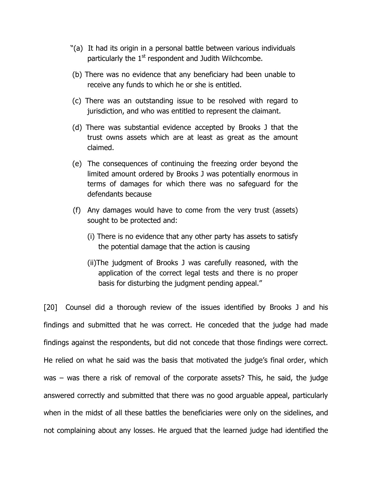- "(a) It had its origin in a personal battle between various individuals particularly the  $1<sup>st</sup>$  respondent and Judith Wilchcombe.
- (b) There was no evidence that any beneficiary had been unable to receive any funds to which he or she is entitled.
- (c) There was an outstanding issue to be resolved with regard to jurisdiction, and who was entitled to represent the claimant.
- (d) There was substantial evidence accepted by Brooks J that the trust owns assets which are at least as great as the amount claimed.
- (e) The consequences of continuing the freezing order beyond the limited amount ordered by Brooks J was potentially enormous in terms of damages for which there was no safeguard for the defendants because
- (f) Any damages would have to come from the very trust (assets) sought to be protected and:
	- (i) There is no evidence that any other party has assets to satisfy the potential damage that the action is causing
	- (ii)The judgment of Brooks J was carefully reasoned, with the application of the correct legal tests and there is no proper basis for disturbing the judgment pending appeal."

[20] Counsel did a thorough review of the issues identified by Brooks J and his findings and submitted that he was correct. He conceded that the judge had made findings against the respondents, but did not concede that those findings were correct. He relied on what he said was the basis that motivated the judge's final order, which was – was there a risk of removal of the corporate assets? This, he said, the judge answered correctly and submitted that there was no good arguable appeal, particularly when in the midst of all these battles the beneficiaries were only on the sidelines, and not complaining about any losses. He argued that the learned judge had identified the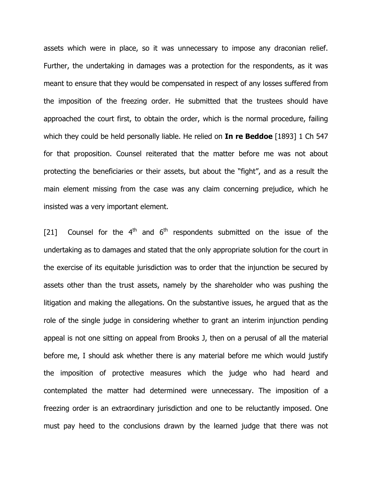assets which were in place, so it was unnecessary to impose any draconian relief. Further, the undertaking in damages was a protection for the respondents, as it was meant to ensure that they would be compensated in respect of any losses suffered from the imposition of the freezing order. He submitted that the trustees should have approached the court first, to obtain the order, which is the normal procedure, failing which they could be held personally liable. He relied on **In re Beddoe** [1893] 1 Ch 547 for that proposition. Counsel reiterated that the matter before me was not about protecting the beneficiaries or their assets, but about the "fight", and as a result the main element missing from the case was any claim concerning prejudice, which he insisted was a very important element.

[21] Counsel for the  $4<sup>th</sup>$  and  $6<sup>th</sup>$  respondents submitted on the issue of the undertaking as to damages and stated that the only appropriate solution for the court in the exercise of its equitable jurisdiction was to order that the injunction be secured by assets other than the trust assets, namely by the shareholder who was pushing the litigation and making the allegations. On the substantive issues, he argued that as the role of the single judge in considering whether to grant an interim injunction pending appeal is not one sitting on appeal from Brooks J, then on a perusal of all the material before me, I should ask whether there is any material before me which would justify the imposition of protective measures which the judge who had heard and contemplated the matter had determined were unnecessary. The imposition of a freezing order is an extraordinary jurisdiction and one to be reluctantly imposed. One must pay heed to the conclusions drawn by the learned judge that there was not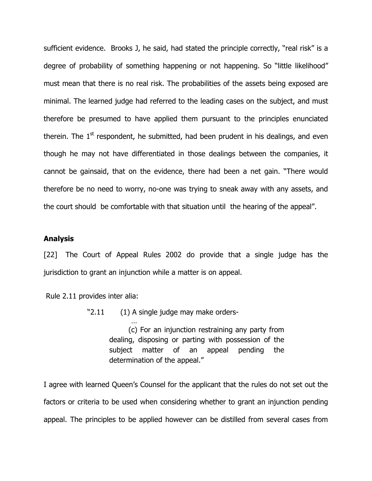sufficient evidence. Brooks J, he said, had stated the principle correctly, "real risk" is a degree of probability of something happening or not happening. So "little likelihood" must mean that there is no real risk. The probabilities of the assets being exposed are minimal. The learned judge had referred to the leading cases on the subject, and must therefore be presumed to have applied them pursuant to the principles enunciated therein. The  $1<sup>st</sup>$  respondent, he submitted, had been prudent in his dealings, and even though he may not have differentiated in those dealings between the companies, it cannot be gainsaid, that on the evidence, there had been a net gain. "There would therefore be no need to worry, no-one was trying to sneak away with any assets, and the court should be comfortable with that situation until the hearing of the appeal".

### Analysis

[22] The Court of Appeal Rules 2002 do provide that a single judge has the jurisdiction to grant an injunction while a matter is on appeal.

Rule 2.11 provides inter alia:

…

"2.11 (1) A single judge may make orders-

 (c) For an injunction restraining any party from dealing, disposing or parting with possession of the subject matter of an appeal pending the determination of the appeal."

I agree with learned Queen's Counsel for the applicant that the rules do not set out the factors or criteria to be used when considering whether to grant an injunction pending appeal. The principles to be applied however can be distilled from several cases from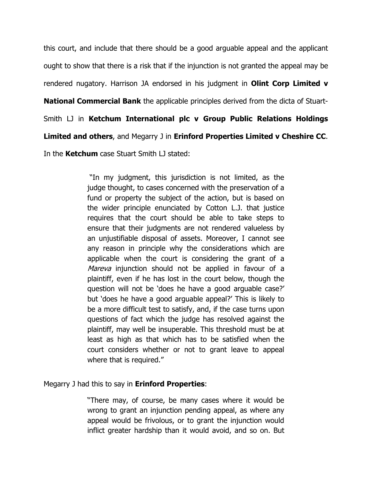this court, and include that there should be a good arguable appeal and the applicant ought to show that there is a risk that if the injunction is not granted the appeal may be rendered nugatory. Harrison JA endorsed in his judgment in **Olint Corp Limited v National Commercial Bank** the applicable principles derived from the dicta of Stuart-Smith LJ in Ketchum International plc v Group Public Relations Holdings Limited and others, and Megarry J in Erinford Properties Limited v Cheshire CC. In the **Ketchum** case Stuart Smith LJ stated:

> "In my judgment, this jurisdiction is not limited, as the judge thought, to cases concerned with the preservation of a fund or property the subject of the action, but is based on the wider principle enunciated by Cotton L.J. that justice requires that the court should be able to take steps to ensure that their judgments are not rendered valueless by an unjustifiable disposal of assets. Moreover, I cannot see any reason in principle why the considerations which are applicable when the court is considering the grant of a Mareva injunction should not be applied in favour of a plaintiff, even if he has lost in the court below, though the question will not be 'does he have a good arguable case?' but 'does he have a good arguable appeal?' This is likely to be a more difficult test to satisfy, and, if the case turns upon questions of fact which the judge has resolved against the plaintiff, may well be insuperable. This threshold must be at least as high as that which has to be satisfied when the court considers whether or not to grant leave to appeal where that is required."

# Megarry J had this to say in **Erinford Properties**:

"There may, of course, be many cases where it would be wrong to grant an injunction pending appeal, as where any appeal would be frivolous, or to grant the injunction would inflict greater hardship than it would avoid, and so on. But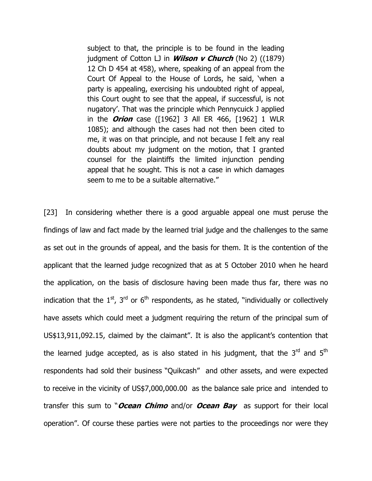subject to that, the principle is to be found in the leading judgment of Cotton LJ in **Wilson v Church** (No 2)  $((1879))$ 12 Ch D 454 at 458), where, speaking of an appeal from the Court Of Appeal to the House of Lords, he said, 'when a party is appealing, exercising his undoubted right of appeal, this Court ought to see that the appeal, if successful, is not nugatory'. That was the principle which Pennycuick J applied in the **Orion** case ([1962] 3 All ER 466, [1962] 1 WLR 1085); and although the cases had not then been cited to me, it was on that principle, and not because I felt any real doubts about my judgment on the motion, that I granted counsel for the plaintiffs the limited injunction pending appeal that he sought. This is not a case in which damages seem to me to be a suitable alternative."

[23] In considering whether there is a good arguable appeal one must peruse the findings of law and fact made by the learned trial judge and the challenges to the same as set out in the grounds of appeal, and the basis for them. It is the contention of the applicant that the learned judge recognized that as at 5 October 2010 when he heard the application, on the basis of disclosure having been made thus far, there was no indication that the  $1<sup>st</sup>$ ,  $3<sup>rd</sup>$  or 6<sup>th</sup> respondents, as he stated, "individually or collectively have assets which could meet a judgment requiring the return of the principal sum of US\$13,911,092.15, claimed by the claimant". It is also the applicant's contention that the learned judge accepted, as is also stated in his judgment, that the  $3<sup>rd</sup>$  and  $5<sup>th</sup>$ respondents had sold their business "Quikcash" and other assets, and were expected to receive in the vicinity of US\$7,000,000.00 as the balance sale price and intended to transfer this sum to "Ocean Chimo and/or Ocean Bay as support for their local operation". Of course these parties were not parties to the proceedings nor were they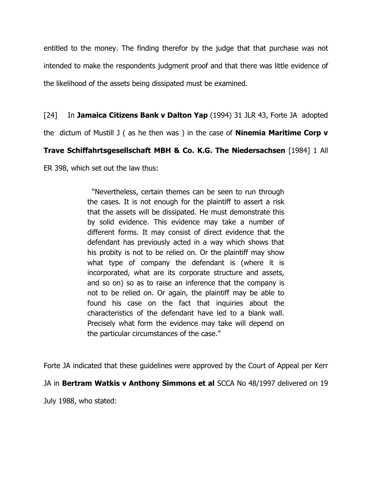entitled to the money. The finding therefor by the judge that that purchase was not intended to make the respondents judgment proof and that there was little evidence of the likelihood of the assets being dissipated must be examined.

[24] In Jamaica Citizens Bank v Dalton Yap (1994) 31 JLR 43, Forte JA adopted

the dictum of Mustill J ( as he then was ) in the case of **Ninemia Maritime Corp v** 

# Trave Schiffahrtsgesellschaft MBH & Co. K.G. The Niedersachsen [1984] 1 All

ER 398, which set out the law thus:

 "Nevertheless, certain themes can be seen to run through the cases. It is not enough for the plaintiff to assert a risk that the assets will be dissipated. He must demonstrate this by solid evidence. This evidence may take a number of different forms. It may consist of direct evidence that the defendant has previously acted in a way which shows that his probity is not to be relied on. Or the plaintiff may show what type of company the defendant is (where it is incorporated, what are its corporate structure and assets, and so on) so as to raise an inference that the company is not to be relied on. Or again, the plaintiff may be able to found his case on the fact that inquiries about the characteristics of the defendant have led to a blank wall. Precisely what form the evidence may take will depend on the particular circumstances of the case."

Forte JA indicated that these guidelines were approved by the Court of Appeal per Kerr

JA in Bertram Watkis v Anthony Simmons et al SCCA No 48/1997 delivered on 19

July 1988, who stated: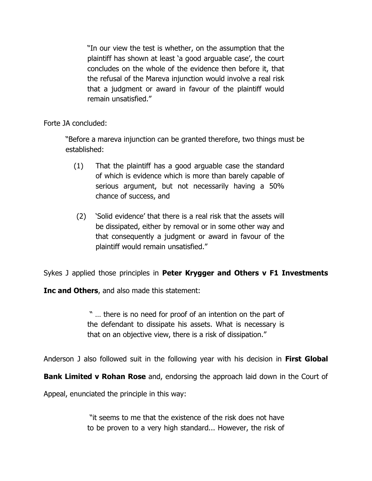"In our view the test is whether, on the assumption that the plaintiff has shown at least 'a good arguable case', the court concludes on the whole of the evidence then before it, that the refusal of the Mareva injunction would involve a real risk that a judgment or award in favour of the plaintiff would remain unsatisfied."

Forte JA concluded:

"Before a mareva injunction can be granted therefore, two things must be established:

- (1) That the plaintiff has a good arguable case the standard of which is evidence which is more than barely capable of serious argument, but not necessarily having a 50% chance of success, and
- (2) 'Solid evidence' that there is a real risk that the assets will be dissipated, either by removal or in some other way and that consequently a judgment or award in favour of the plaintiff would remain unsatisfied."

Sykes J applied those principles in Peter Krygger and Others v F1 Investments

Inc and Others, and also made this statement:

 " … there is no need for proof of an intention on the part of the defendant to dissipate his assets. What is necessary is that on an objective view, there is a risk of dissipation."

Anderson J also followed suit in the following year with his decision in First Global

**Bank Limited v Rohan Rose** and, endorsing the approach laid down in the Court of

Appeal, enunciated the principle in this way:

 "it seems to me that the existence of the risk does not have to be proven to a very high standard... However, the risk of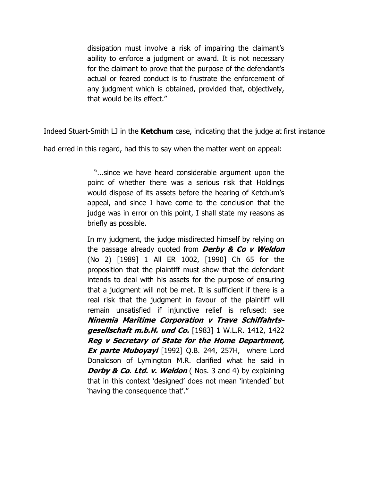dissipation must involve a risk of impairing the claimant's ability to enforce a judgment or award. It is not necessary for the claimant to prove that the purpose of the defendant's actual or feared conduct is to frustrate the enforcement of any judgment which is obtained, provided that, objectively, that would be its effect."

Indeed Stuart-Smith LJ in the **Ketchum** case, indicating that the judge at first instance

had erred in this regard, had this to say when the matter went on appeal:

"...since we have heard considerable argument upon the point of whether there was a serious risk that Holdings would dispose of its assets before the hearing of Ketchum's appeal, and since I have come to the conclusion that the judge was in error on this point, I shall state my reasons as briefly as possible.

In my judgment, the judge misdirected himself by relying on the passage already quoted from **Derby & Co v Weldon** (No 2) [1989] 1 All ER 1002, [1990] Ch 65 for the proposition that the plaintiff must show that the defendant intends to deal with his assets for the purpose of ensuring that a judgment will not be met. It is sufficient if there is a real risk that the judgment in favour of the plaintiff will remain unsatisfied if injunctive relief is refused: see Ninemia Maritime Corporation v Trave Schiffahrtsgesellschaft m.b.H. und Co. [1983] 1 W.L.R. 1412, 1422 Reg v Secretary of State for the Home Department, **Ex parte Muboyayi** [1992] Q.B. 244, 257H, where Lord Donaldson of Lymington M.R. clarified what he said in **Derby & Co. Ltd. v. Weldon** (Nos. 3 and 4) by explaining that in this context 'designed' does not mean 'intended' but 'having the consequence that'."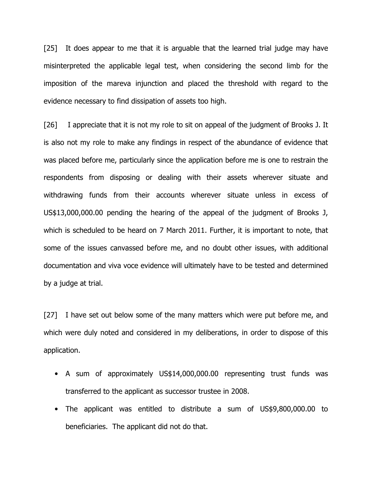[25] It does appear to me that it is arguable that the learned trial judge may have misinterpreted the applicable legal test, when considering the second limb for the imposition of the mareva injunction and placed the threshold with regard to the evidence necessary to find dissipation of assets too high.

[26] I appreciate that it is not my role to sit on appeal of the judgment of Brooks J. It is also not my role to make any findings in respect of the abundance of evidence that was placed before me, particularly since the application before me is one to restrain the respondents from disposing or dealing with their assets wherever situate and withdrawing funds from their accounts wherever situate unless in excess of US\$13,000,000.00 pending the hearing of the appeal of the judgment of Brooks J, which is scheduled to be heard on 7 March 2011. Further, it is important to note, that some of the issues canvassed before me, and no doubt other issues, with additional documentation and viva voce evidence will ultimately have to be tested and determined by a judge at trial.

[27] I have set out below some of the many matters which were put before me, and which were duly noted and considered in my deliberations, in order to dispose of this application.

- A sum of approximately US\$14,000,000.00 representing trust funds was transferred to the applicant as successor trustee in 2008.
- The applicant was entitled to distribute a sum of US\$9,800,000.00 to beneficiaries. The applicant did not do that.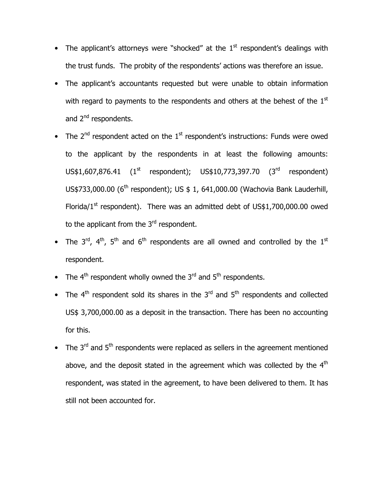- The applicant's attorneys were "shocked" at the  $1<sup>st</sup>$  respondent's dealings with the trust funds. The probity of the respondents' actions was therefore an issue.
- The applicant's accountants requested but were unable to obtain information with regard to payments to the respondents and others at the behest of the  $1<sup>st</sup>$ and 2<sup>nd</sup> respondents.
- The  $2^{nd}$  respondent acted on the  $1^{st}$  respondent's instructions: Funds were owed to the applicant by the respondents in at least the following amounts:  $US$1,607,876.41$  (1<sup>st</sup> respondent);  $US$10,773,397.70$  (3<sup>rd</sup> respondent) US\$733,000.00 (6<sup>th</sup> respondent); US \$ 1, 641,000.00 (Wachovia Bank Lauderhill, Florida/ $1^{st}$  respondent). There was an admitted debt of US\$1,700,000.00 owed to the applicant from the 3<sup>rd</sup> respondent.
- The  $3^{rd}$ ,  $4^{th}$ ,  $5^{th}$  and  $6^{th}$  respondents are all owned and controlled by the  $1^{st}$ respondent.
- The  $4^{th}$  respondent wholly owned the  $3^{rd}$  and  $5^{th}$  respondents.
- The  $4<sup>th</sup>$  respondent sold its shares in the 3<sup>rd</sup> and 5<sup>th</sup> respondents and collected US\$ 3,700,000.00 as a deposit in the transaction. There has been no accounting for this.
- The  $3<sup>rd</sup>$  and  $5<sup>th</sup>$  respondents were replaced as sellers in the agreement mentioned above, and the deposit stated in the agreement which was collected by the  $4<sup>th</sup>$ respondent, was stated in the agreement, to have been delivered to them. It has still not been accounted for.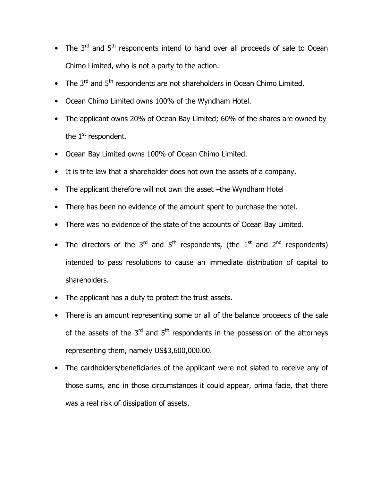- The  $3<sup>rd</sup>$  and  $5<sup>th</sup>$  respondents intend to hand over all proceeds of sale to Ocean Chimo Limited, who is not a party to the action.
- The  $3<sup>rd</sup>$  and  $5<sup>th</sup>$  respondents are not shareholders in Ocean Chimo Limited.
- Ocean Chimo Limited owns 100% of the Wyndham Hotel.
- The applicant owns 20% of Ocean Bay Limited; 60% of the shares are owned by the  $1<sup>st</sup>$  respondent.
- Ocean Bay Limited owns 100% of Ocean Chimo Limited.
- It is trite law that a shareholder does not own the assets of a company.
- The applicant therefore will not own the asset –the Wyndham Hotel
- There has been no evidence of the amount spent to purchase the hotel.
- There was no evidence of the state of the accounts of Ocean Bay Limited.
- The directors of the 3<sup>rd</sup> and 5<sup>th</sup> respondents, (the 1<sup>st</sup> and 2<sup>nd</sup> respondents) intended to pass resolutions to cause an immediate distribution of capital to shareholders.
- The applicant has a duty to protect the trust assets.
- There is an amount representing some or all of the balance proceeds of the sale of the assets of the  $3<sup>rd</sup>$  and  $5<sup>th</sup>$  respondents in the possession of the attorneys representing them, namely US\$3,600,000.00.
- The cardholders/beneficiaries of the applicant were not slated to receive any of those sums, and in those circumstances it could appear, prima facie, that there was a real risk of dissipation of assets.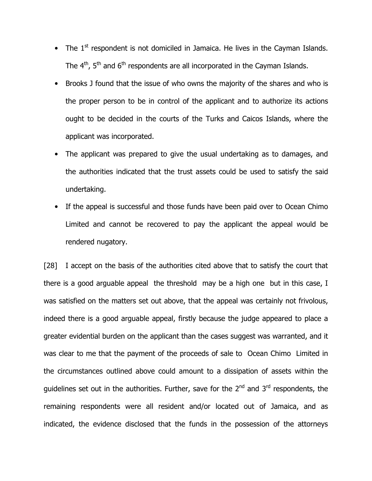- The  $1<sup>st</sup>$  respondent is not domiciled in Jamaica. He lives in the Cayman Islands. The  $4<sup>th</sup>$ ,  $5<sup>th</sup>$  and  $6<sup>th</sup>$  respondents are all incorporated in the Cayman Islands.
- Brooks J found that the issue of who owns the majority of the shares and who is the proper person to be in control of the applicant and to authorize its actions ought to be decided in the courts of the Turks and Caicos Islands, where the applicant was incorporated.
- The applicant was prepared to give the usual undertaking as to damages, and the authorities indicated that the trust assets could be used to satisfy the said undertaking.
- If the appeal is successful and those funds have been paid over to Ocean Chimo Limited and cannot be recovered to pay the applicant the appeal would be rendered nugatory.

[28] I accept on the basis of the authorities cited above that to satisfy the court that there is a good arguable appeal the threshold may be a high one but in this case, I was satisfied on the matters set out above, that the appeal was certainly not frivolous, indeed there is a good arguable appeal, firstly because the judge appeared to place a greater evidential burden on the applicant than the cases suggest was warranted, and it was clear to me that the payment of the proceeds of sale to Ocean Chimo Limited in the circumstances outlined above could amount to a dissipation of assets within the quidelines set out in the authorities. Further, save for the  $2^{nd}$  and  $3^{rd}$  respondents, the remaining respondents were all resident and/or located out of Jamaica, and as indicated, the evidence disclosed that the funds in the possession of the attorneys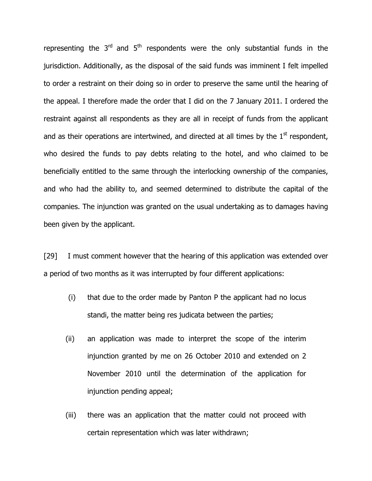representing the  $3<sup>rd</sup>$  and  $5<sup>th</sup>$  respondents were the only substantial funds in the jurisdiction. Additionally, as the disposal of the said funds was imminent I felt impelled to order a restraint on their doing so in order to preserve the same until the hearing of the appeal. I therefore made the order that I did on the 7 January 2011. I ordered the restraint against all respondents as they are all in receipt of funds from the applicant and as their operations are intertwined, and directed at all times by the  $1<sup>st</sup>$  respondent, who desired the funds to pay debts relating to the hotel, and who claimed to be beneficially entitled to the same through the interlocking ownership of the companies, and who had the ability to, and seemed determined to distribute the capital of the companies. The injunction was granted on the usual undertaking as to damages having been given by the applicant.

[29] I must comment however that the hearing of this application was extended over a period of two months as it was interrupted by four different applications:

- (i) that due to the order made by Panton P the applicant had no locus standi, the matter being res judicata between the parties;
- (ii) an application was made to interpret the scope of the interim injunction granted by me on 26 October 2010 and extended on 2 November 2010 until the determination of the application for injunction pending appeal;
- (iii) there was an application that the matter could not proceed with certain representation which was later withdrawn;